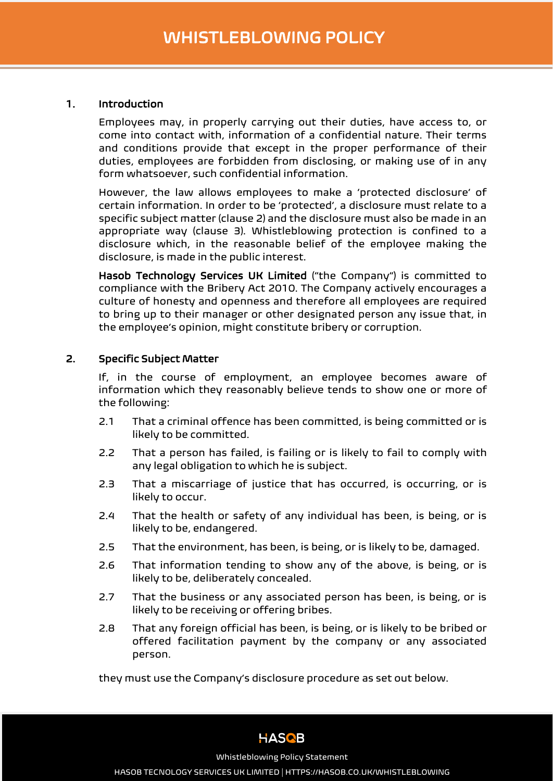Ī

#### 1. Introduction

Employees may, in properly carrying out their duties, have access to, or come into contact with, information of a confidential nature. Their terms and conditions provide that except in the proper performance of their duties, employees are forbidden from disclosing, or making use of in any form whatsoever, such confidential information.

However, the law allows employees to make a 'protected disclosure' of certain information. In order to be 'protected', a disclosure must relate to a specific subject matter (clause 2) and the disclosure must also be made in an appropriate way (clause 3). Whistleblowing protection is confined to a disclosure which, in the reasonable belief of the employee making the disclosure, is made in the public interest.

Hasob Technology Services UK Limited ("the Company") is committed to compliance with the Bribery Act 2010. The Company actively encourages a culture of honesty and openness and therefore all employees are required to bring up to their manager or other designated person any issue that, in the employee's opinion, might constitute bribery or corruption.

#### 2. Specific Subject Matter

If, in the course of employment, an employee becomes aware of information which they reasonably believe tends to show one or more of the following:

- 2.1 That a criminal offence has been committed, is being committed or is likely to be committed.
- 2.2 That a person has failed, is failing or is likely to fail to comply with any legal obligation to which he is subject.
- 2.3 That a miscarriage of justice that has occurred, is occurring, or is likely to occur.
- 2.4 That the health or safety of any individual has been, is being, or is likely to be, endangered.
- 2.5 That the environment, has been, is being, or is likely to be, damaged.
- 2.6 That information tending to show any of the above, is being, or is likely to be, deliberately concealed.
- 2.7 That the business or any associated person has been, is being, or is likely to be receiving or offering bribes.
- 2.8 That any foreign official has been, is being, or is likely to be bribed or offered facilitation payment by the company or any associated person.

they must use the Company's disclosure procedure as set out below.



Whistleblowing Policy Statement

HASOB TECNOLOGY SERVICES UK LIMITED | HTTPS://HASOB.CO.UK/WHISTLEBLOWING